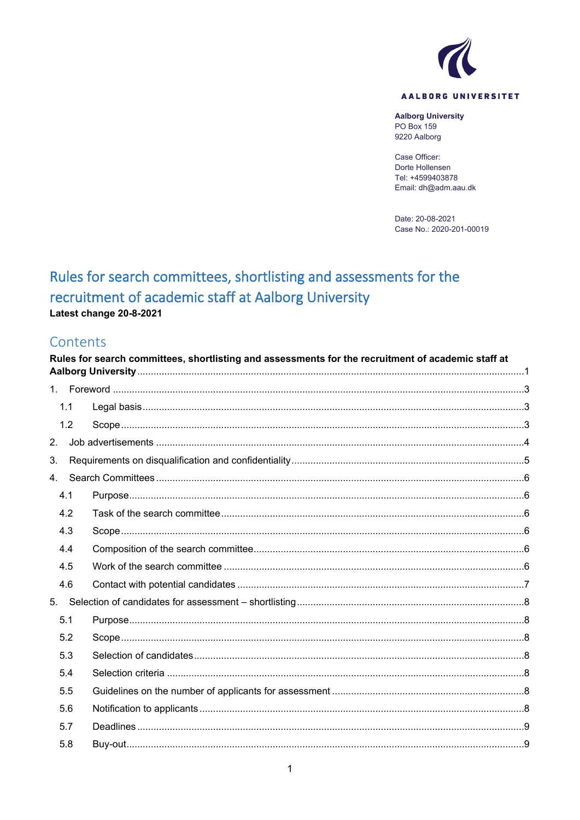

#### AALBORG UNIVERSITET

**Aalborg University** PO Box 159 9220 Aalborg

Case Officer: Dorte Hollensen Tel: +4599403878 Email: dh@adm.aau.dk

Date: 20-08-2021 Case No.: 2020-201-00019

# <span id="page-0-0"></span>Rules for search committees, shortlisting and assessments for the recruitment of academic staff at Aalborg University Latest change 20-8-2021

## Contents

|    | Rules for search committees, shortlisting and assessments for the recruitment of academic staff at |  |  |  |  |
|----|----------------------------------------------------------------------------------------------------|--|--|--|--|
|    |                                                                                                    |  |  |  |  |
|    | 1.1                                                                                                |  |  |  |  |
|    | 1.2                                                                                                |  |  |  |  |
| 2. |                                                                                                    |  |  |  |  |
| 3. |                                                                                                    |  |  |  |  |
| 4. |                                                                                                    |  |  |  |  |
|    | 4.1                                                                                                |  |  |  |  |
|    | 4.2                                                                                                |  |  |  |  |
|    | 4.3                                                                                                |  |  |  |  |
|    | 4.4                                                                                                |  |  |  |  |
|    | 4.5                                                                                                |  |  |  |  |
|    | 4.6                                                                                                |  |  |  |  |
| 5. |                                                                                                    |  |  |  |  |
|    | 5.1                                                                                                |  |  |  |  |
|    | 5.2                                                                                                |  |  |  |  |
|    | 5.3                                                                                                |  |  |  |  |
|    | 5.4                                                                                                |  |  |  |  |
|    | 5.5                                                                                                |  |  |  |  |
|    | 5.6                                                                                                |  |  |  |  |
|    | 5.7                                                                                                |  |  |  |  |
|    | 5.8                                                                                                |  |  |  |  |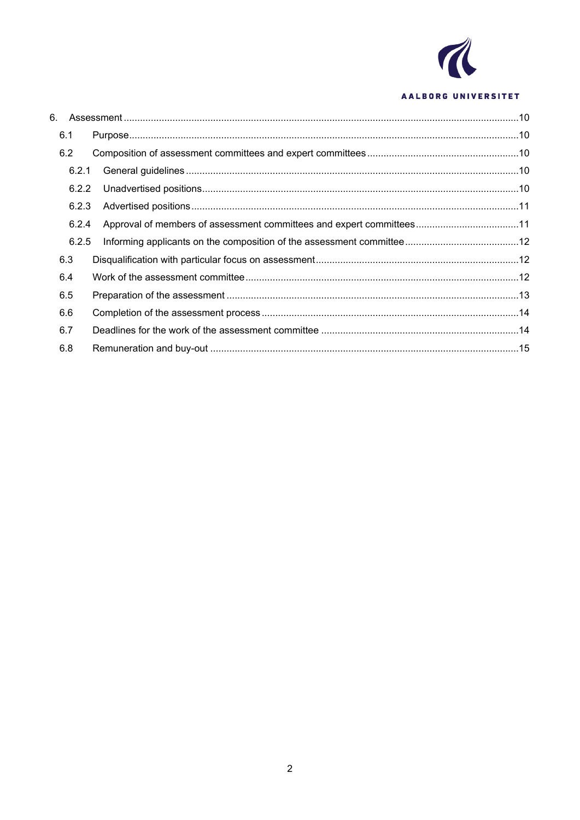

#### AALBORG UNIVERSITET

| 6.1   |  |
|-------|--|
| 6.2   |  |
| 6.2.1 |  |
| 6.2.2 |  |
| 6.2.3 |  |
| 6.2.4 |  |
| 6.2.5 |  |
| 6.3   |  |
| 6.4   |  |
| 6.5   |  |
| 6.6   |  |
| 6.7   |  |
| 6.8   |  |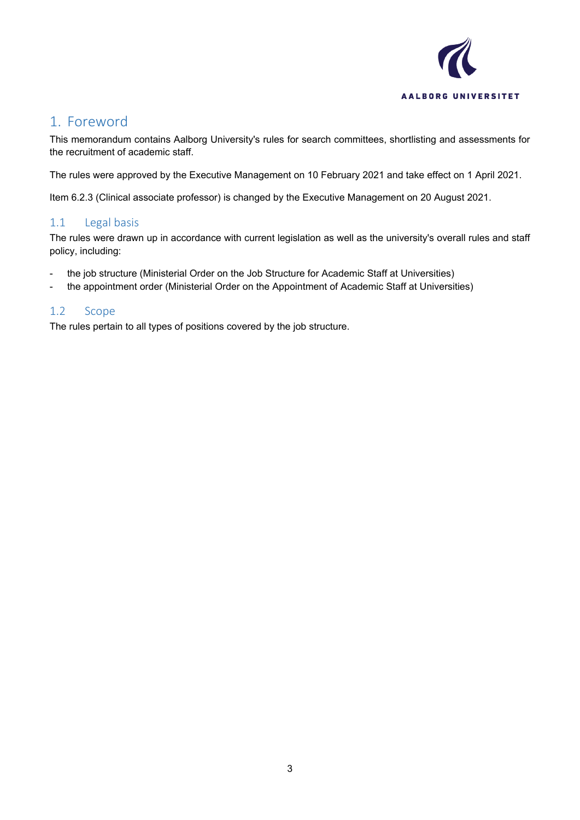

## <span id="page-2-0"></span>1. Foreword

This memorandum contains Aalborg University's rules for search committees, shortlisting and assessments for the recruitment of academic staff.

The rules were approved by the Executive Management on 10 February 2021 and take effect on 1 April 2021.

Item 6.2.3 (Clinical associate professor) is changed by the Executive Management on 20 August 2021.

#### <span id="page-2-1"></span>1.1 Legal basis

The rules were drawn up in accordance with current legislation as well as the university's overall rules and staff policy, including:

- the job structure (Ministerial Order on the Job Structure for Academic Staff at Universities)
- the appointment order (Ministerial Order on the Appointment of Academic Staff at Universities)

#### <span id="page-2-2"></span>1.2 Scope

The rules pertain to all types of positions covered by the job structure.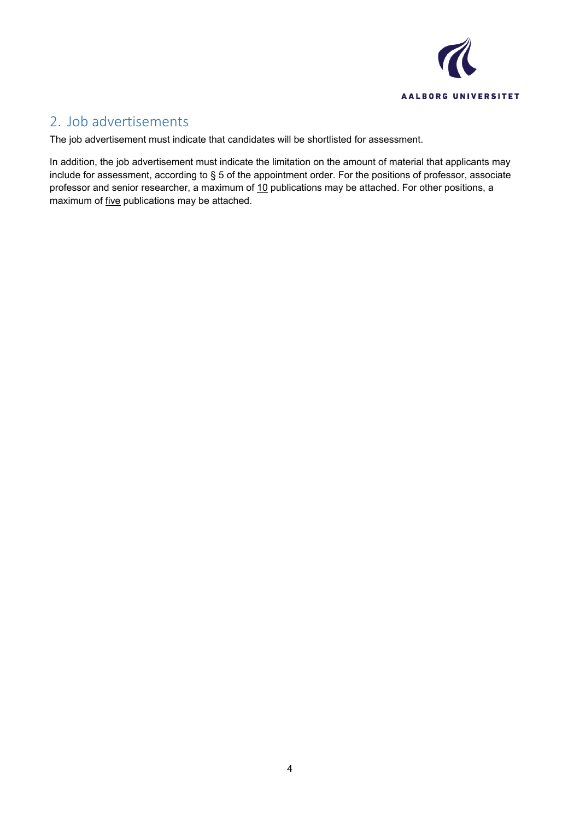

## <span id="page-3-0"></span>2. Job advertisements

The job advertisement must indicate that candidates will be shortlisted for assessment.

In addition, the job advertisement must indicate the limitation on the amount of material that applicants may include for assessment, according to § 5 of the appointment order. For the positions of professor, associate professor and senior researcher, a maximum of 10 publications may be attached. For other positions, a maximum of five publications may be attached.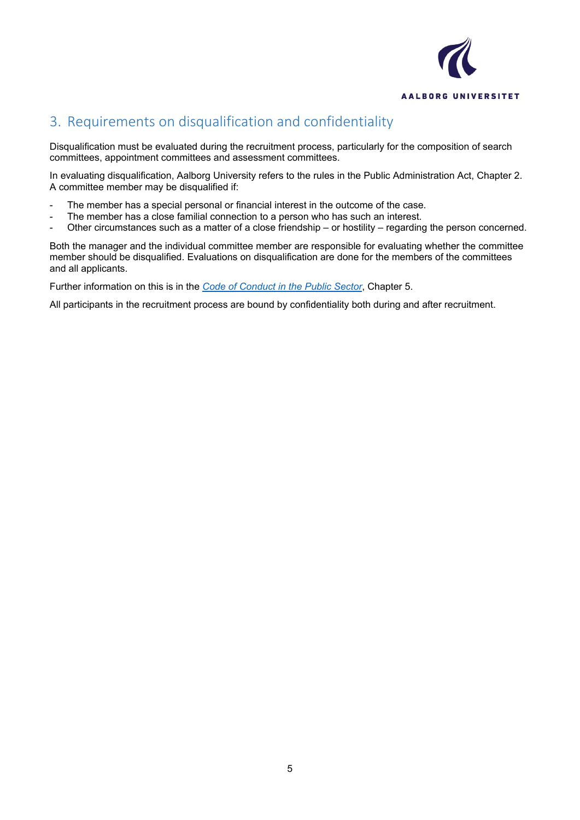

# <span id="page-4-0"></span>3. Requirements on disqualification and confidentiality

Disqualification must be evaluated during the recruitment process, particularly for the composition of search committees, appointment committees and assessment committees.

In evaluating disqualification, Aalborg University refers to the rules in the Public Administration Act, Chapter 2. A committee member may be disqualified if:

- The member has a special personal or financial interest in the outcome of the case.
- The member has a close familial connection to a person who has such an interest.
- Other circumstances such as a matter of a close friendship or hostility regarding the person concerned.

Both the manager and the individual committee member are responsible for evaluating whether the committee member should be disqualified. Evaluations on disqualification are done for the members of the committees and all applicants.

Further information on this is in the *[Code of Conduct in the Public Sector](https://modst.dk/media/18742/code-of-conduct-in-the-public-sectorforside.pdf)*, Chapter 5.

All participants in the recruitment process are bound by confidentiality both during and after recruitment.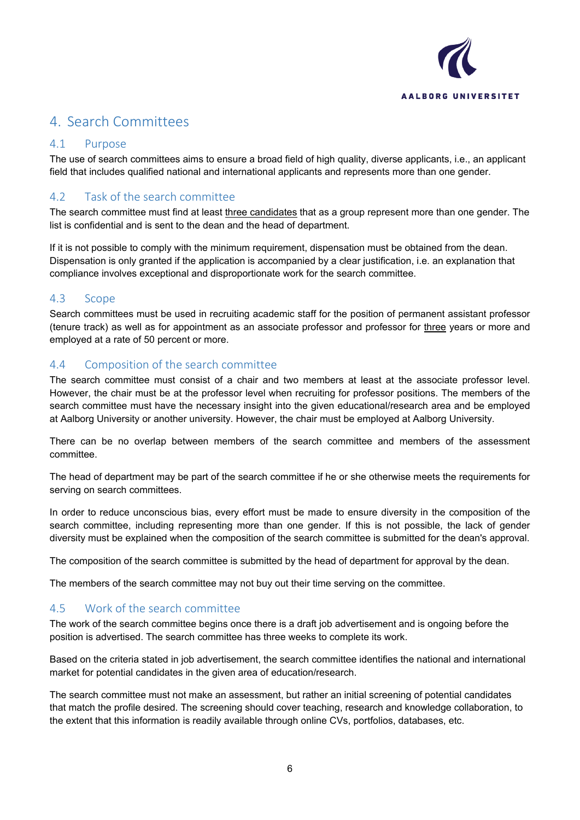

# <span id="page-5-0"></span>4. Search Committees

#### <span id="page-5-1"></span>4.1 Purpose

The use of search committees aims to ensure a broad field of high quality, diverse applicants, i.e., an applicant field that includes qualified national and international applicants and represents more than one gender.

## <span id="page-5-2"></span>4.2 Task of the search committee

The search committee must find at least three candidates that as a group represent more than one gender. The list is confidential and is sent to the dean and the head of department.

If it is not possible to comply with the minimum requirement, dispensation must be obtained from the dean. Dispensation is only granted if the application is accompanied by a clear justification, i.e. an explanation that compliance involves exceptional and disproportionate work for the search committee.

#### <span id="page-5-3"></span>4.3 Scope

Search committees must be used in recruiting academic staff for the position of permanent assistant professor (tenure track) as well as for appointment as an associate professor and professor for three years or more and employed at a rate of 50 percent or more.

#### <span id="page-5-4"></span>4.4 Composition of the search committee

The search committee must consist of a chair and two members at least at the associate professor level. However, the chair must be at the professor level when recruiting for professor positions. The members of the search committee must have the necessary insight into the given educational/research area and be employed at Aalborg University or another university. However, the chair must be employed at Aalborg University.

There can be no overlap between members of the search committee and members of the assessment committee.

The head of department may be part of the search committee if he or she otherwise meets the requirements for serving on search committees.

In order to reduce unconscious bias, every effort must be made to ensure diversity in the composition of the search committee, including representing more than one gender. If this is not possible, the lack of gender diversity must be explained when the composition of the search committee is submitted for the dean's approval.

The composition of the search committee is submitted by the head of department for approval by the dean.

The members of the search committee may not buy out their time serving on the committee.

### <span id="page-5-5"></span>4.5 Work of the search committee

The work of the search committee begins once there is a draft job advertisement and is ongoing before the position is advertised. The search committee has three weeks to complete its work.

Based on the criteria stated in job advertisement, the search committee identifies the national and international market for potential candidates in the given area of education/research.

The search committee must not make an assessment, but rather an initial screening of potential candidates that match the profile desired. The screening should cover teaching, research and knowledge collaboration, to the extent that this information is readily available through online CVs, portfolios, databases, etc.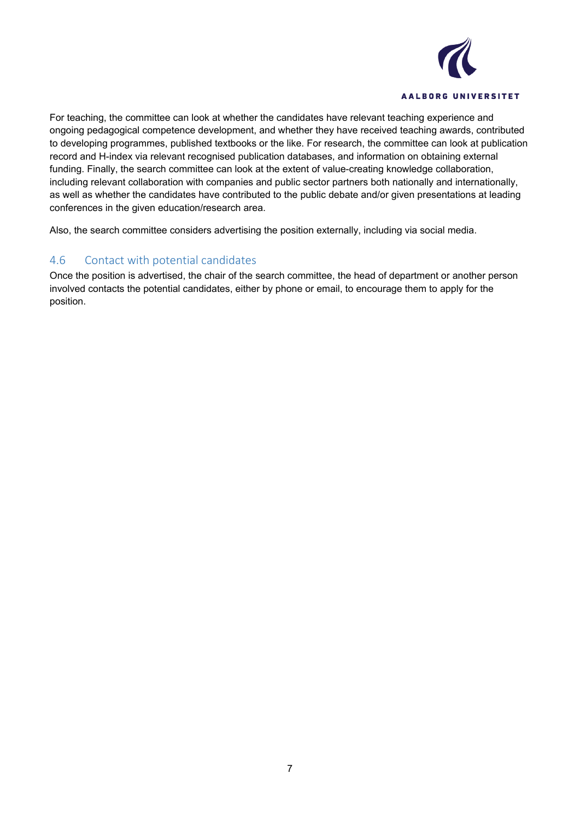

For teaching, the committee can look at whether the candidates have relevant teaching experience and ongoing pedagogical competence development, and whether they have received teaching awards, contributed to developing programmes, published textbooks or the like. For research, the committee can look at publication record and H-index via relevant recognised publication databases, and information on obtaining external funding. Finally, the search committee can look at the extent of value-creating knowledge collaboration, including relevant collaboration with companies and public sector partners both nationally and internationally, as well as whether the candidates have contributed to the public debate and/or given presentations at leading conferences in the given education/research area.

Also, the search committee considers advertising the position externally, including via social media.

#### <span id="page-6-0"></span>4.6 Contact with potential candidates

Once the position is advertised, the chair of the search committee, the head of department or another person involved contacts the potential candidates, either by phone or email, to encourage them to apply for the position.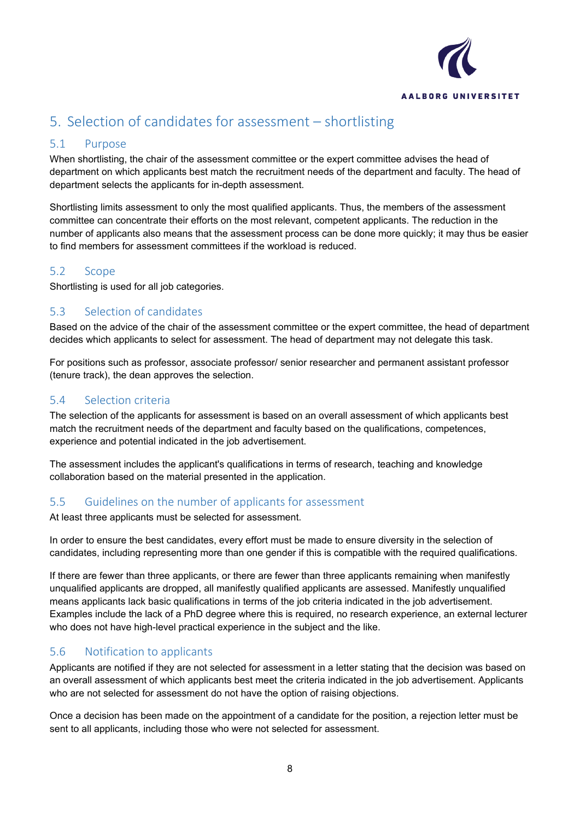

# <span id="page-7-0"></span>5. Selection of candidates for assessment – shortlisting

## <span id="page-7-1"></span>5.1 Purpose

When shortlisting, the chair of the assessment committee or the expert committee advises the head of department on which applicants best match the recruitment needs of the department and faculty. The head of department selects the applicants for in-depth assessment.

Shortlisting limits assessment to only the most qualified applicants. Thus, the members of the assessment committee can concentrate their efforts on the most relevant, competent applicants. The reduction in the number of applicants also means that the assessment process can be done more quickly; it may thus be easier to find members for assessment committees if the workload is reduced.

#### <span id="page-7-2"></span>5.2 Scope

Shortlisting is used for all job categories.

## <span id="page-7-3"></span>5.3 Selection of candidates

Based on the advice of the chair of the assessment committee or the expert committee, the head of department decides which applicants to select for assessment. The head of department may not delegate this task.

For positions such as professor, associate professor/ senior researcher and permanent assistant professor (tenure track), the dean approves the selection.

### <span id="page-7-4"></span>5.4 Selection criteria

The selection of the applicants for assessment is based on an overall assessment of which applicants best match the recruitment needs of the department and faculty based on the qualifications, competences, experience and potential indicated in the job advertisement.

The assessment includes the applicant's qualifications in terms of research, teaching and knowledge collaboration based on the material presented in the application.

### <span id="page-7-5"></span>5.5 Guidelines on the number of applicants for assessment

At least three applicants must be selected for assessment.

In order to ensure the best candidates, every effort must be made to ensure diversity in the selection of candidates, including representing more than one gender if this is compatible with the required qualifications.

If there are fewer than three applicants, or there are fewer than three applicants remaining when manifestly unqualified applicants are dropped, all manifestly qualified applicants are assessed. Manifestly unqualified means applicants lack basic qualifications in terms of the job criteria indicated in the job advertisement. Examples include the lack of a PhD degree where this is required, no research experience, an external lecturer who does not have high-level practical experience in the subject and the like.

### <span id="page-7-6"></span>5.6 Notification to applicants

Applicants are notified if they are not selected for assessment in a letter stating that the decision was based on an overall assessment of which applicants best meet the criteria indicated in the job advertisement. Applicants who are not selected for assessment do not have the option of raising objections.

Once a decision has been made on the appointment of a candidate for the position, a rejection letter must be sent to all applicants, including those who were not selected for assessment.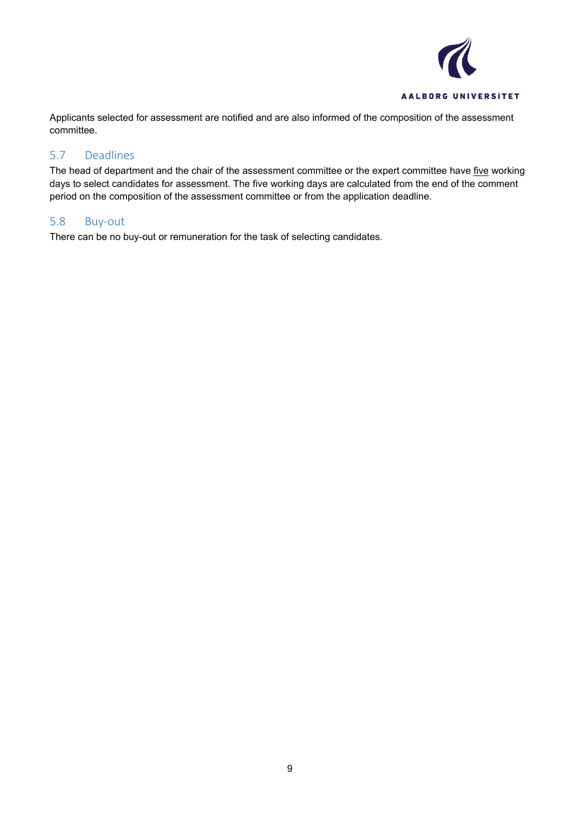

Applicants selected for assessment are notified and are also informed of the composition of the assessment committee.

#### <span id="page-8-0"></span>5.7 Deadlines

The head of department and the chair of the assessment committee or the expert committee have five working days to select candidates for assessment. The five working days are calculated from the end of the comment period on the composition of the assessment committee or from the application deadline.

#### <span id="page-8-1"></span>5.8 Buy-out

There can be no buy-out or remuneration for the task of selecting candidates.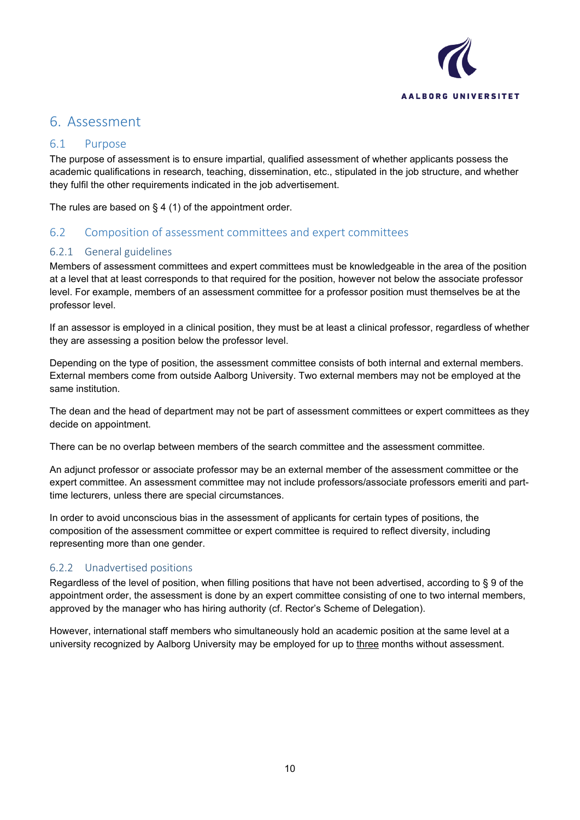

## <span id="page-9-0"></span>6. Assessment

#### <span id="page-9-1"></span>6.1 Purpose

The purpose of assessment is to ensure impartial, qualified assessment of whether applicants possess the academic qualifications in research, teaching, dissemination, etc., stipulated in the job structure, and whether they fulfil the other requirements indicated in the job advertisement.

The rules are based on  $\S 4$  (1) of the appointment order.

### <span id="page-9-2"></span>6.2 Composition of assessment committees and expert committees

#### <span id="page-9-3"></span>6.2.1 General guidelines

Members of assessment committees and expert committees must be knowledgeable in the area of the position at a level that at least corresponds to that required for the position, however not below the associate professor level. For example, members of an assessment committee for a professor position must themselves be at the professor level.

If an assessor is employed in a clinical position, they must be at least a clinical professor, regardless of whether they are assessing a position below the professor level.

Depending on the type of position, the assessment committee consists of both internal and external members. External members come from outside Aalborg University. Two external members may not be employed at the same institution.

The dean and the head of department may not be part of assessment committees or expert committees as they decide on appointment.

There can be no overlap between members of the search committee and the assessment committee.

An adjunct professor or associate professor may be an external member of the assessment committee or the expert committee. An assessment committee may not include professors/associate professors emeriti and parttime lecturers, unless there are special circumstances.

In order to avoid unconscious bias in the assessment of applicants for certain types of positions, the composition of the assessment committee or expert committee is required to reflect diversity, including representing more than one gender.

#### <span id="page-9-4"></span>6.2.2 Unadvertised positions

Regardless of the level of position, when filling positions that have not been advertised, according to § 9 of the appointment order, the assessment is done by an expert committee consisting of one to two internal members, approved by the manager who has hiring authority (cf. Rector's Scheme of Delegation).

However, international staff members who simultaneously hold an academic position at the same level at a university recognized by Aalborg University may be employed for up to three months without assessment.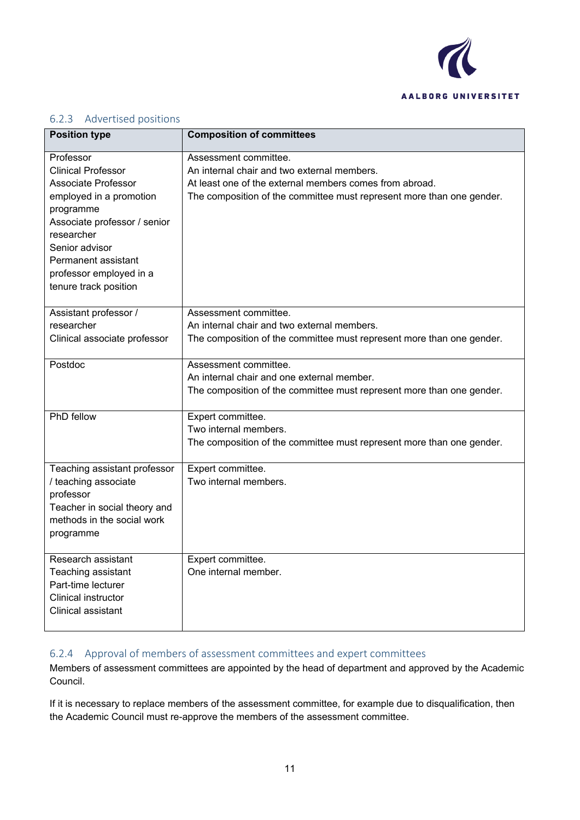

#### <span id="page-10-0"></span>6.2.3 Advertised positions

| <b>Position type</b>                     | <b>Composition of committees</b>                                      |
|------------------------------------------|-----------------------------------------------------------------------|
| Professor                                | Assessment committee.                                                 |
| <b>Clinical Professor</b>                | An internal chair and two external members.                           |
| Associate Professor                      | At least one of the external members comes from abroad.               |
| employed in a promotion                  | The composition of the committee must represent more than one gender. |
| programme                                |                                                                       |
| Associate professor / senior             |                                                                       |
| researcher                               |                                                                       |
| Senior advisor                           |                                                                       |
| Permanent assistant                      |                                                                       |
| professor employed in a                  |                                                                       |
| tenure track position                    |                                                                       |
|                                          |                                                                       |
| Assistant professor /                    | Assessment committee.                                                 |
| researcher                               | An internal chair and two external members.                           |
| Clinical associate professor             | The composition of the committee must represent more than one gender. |
|                                          |                                                                       |
| Postdoc                                  | Assessment committee.                                                 |
|                                          | An internal chair and one external member.                            |
|                                          | The composition of the committee must represent more than one gender. |
|                                          |                                                                       |
| <b>PhD</b> fellow                        | Expert committee.                                                     |
|                                          | Two internal members.                                                 |
|                                          | The composition of the committee must represent more than one gender. |
|                                          |                                                                       |
| Teaching assistant professor             | Expert committee.                                                     |
| / teaching associate                     | Two internal members.                                                 |
| professor                                |                                                                       |
| Teacher in social theory and             |                                                                       |
| methods in the social work               |                                                                       |
| programme                                |                                                                       |
| Research assistant                       |                                                                       |
|                                          | Expert committee.<br>One internal member.                             |
| Teaching assistant<br>Part-time lecturer |                                                                       |
| <b>Clinical instructor</b>               |                                                                       |
| Clinical assistant                       |                                                                       |
|                                          |                                                                       |
|                                          |                                                                       |

## <span id="page-10-1"></span>6.2.4 Approval of members of assessment committees and expert committees

Members of assessment committees are appointed by the head of department and approved by the Academic Council.

If it is necessary to replace members of the assessment committee, for example due to disqualification, then the Academic Council must re-approve the members of the assessment committee.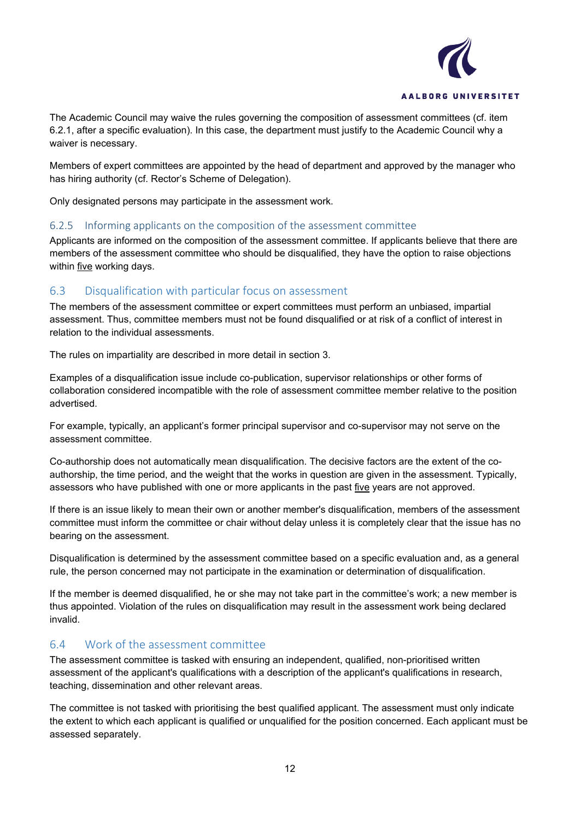

The Academic Council may waive the rules governing the composition of assessment committees (cf. item 6.2.1, after a specific evaluation). In this case, the department must justify to the Academic Council why a waiver is necessary.

Members of expert committees are appointed by the head of department and approved by the manager who has hiring authority (cf. Rector's Scheme of Delegation).

Only designated persons may participate in the assessment work.

#### <span id="page-11-0"></span>6.2.5 Informing applicants on the composition of the assessment committee

Applicants are informed on the composition of the assessment committee. If applicants believe that there are members of the assessment committee who should be disqualified, they have the option to raise objections within five working days.

#### <span id="page-11-1"></span>6.3 Disqualification with particular focus on assessment

The members of the assessment committee or expert committees must perform an unbiased, impartial assessment. Thus, committee members must not be found disqualified or at risk of a conflict of interest in relation to the individual assessments.

The rules on impartiality are described in more detail in section 3.

Examples of a disqualification issue include co-publication, supervisor relationships or other forms of collaboration considered incompatible with the role of assessment committee member relative to the position advertised.

For example, typically, an applicant's former principal supervisor and co-supervisor may not serve on the assessment committee.

Co-authorship does not automatically mean disqualification. The decisive factors are the extent of the coauthorship, the time period, and the weight that the works in question are given in the assessment. Typically, assessors who have published with one or more applicants in the past five years are not approved.

If there is an issue likely to mean their own or another member's disqualification, members of the assessment committee must inform the committee or chair without delay unless it is completely clear that the issue has no bearing on the assessment.

Disqualification is determined by the assessment committee based on a specific evaluation and, as a general rule, the person concerned may not participate in the examination or determination of disqualification.

If the member is deemed disqualified, he or she may not take part in the committee's work; a new member is thus appointed. Violation of the rules on disqualification may result in the assessment work being declared invalid.

#### <span id="page-11-2"></span>6.4 Work of the assessment committee

The assessment committee is tasked with ensuring an independent, qualified, non-prioritised written assessment of the applicant's qualifications with a description of the applicant's qualifications in research, teaching, dissemination and other relevant areas.

The committee is not tasked with prioritising the best qualified applicant. The assessment must only indicate the extent to which each applicant is qualified or unqualified for the position concerned. Each applicant must be assessed separately.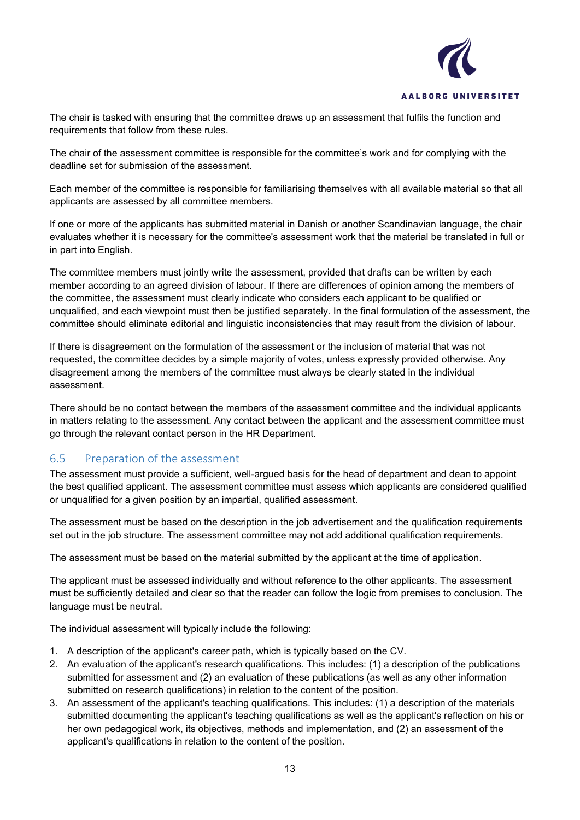

The chair is tasked with ensuring that the committee draws up an assessment that fulfils the function and requirements that follow from these rules.

The chair of the assessment committee is responsible for the committee's work and for complying with the deadline set for submission of the assessment.

Each member of the committee is responsible for familiarising themselves with all available material so that all applicants are assessed by all committee members.

If one or more of the applicants has submitted material in Danish or another Scandinavian language, the chair evaluates whether it is necessary for the committee's assessment work that the material be translated in full or in part into English.

The committee members must jointly write the assessment, provided that drafts can be written by each member according to an agreed division of labour. If there are differences of opinion among the members of the committee, the assessment must clearly indicate who considers each applicant to be qualified or unqualified, and each viewpoint must then be justified separately. In the final formulation of the assessment, the committee should eliminate editorial and linguistic inconsistencies that may result from the division of labour.

If there is disagreement on the formulation of the assessment or the inclusion of material that was not requested, the committee decides by a simple majority of votes, unless expressly provided otherwise. Any disagreement among the members of the committee must always be clearly stated in the individual assessment.

There should be no contact between the members of the assessment committee and the individual applicants in matters relating to the assessment. Any contact between the applicant and the assessment committee must go through the relevant contact person in the HR Department.

### <span id="page-12-0"></span>6.5 Preparation of the assessment

The assessment must provide a sufficient, well-argued basis for the head of department and dean to appoint the best qualified applicant. The assessment committee must assess which applicants are considered qualified or unqualified for a given position by an impartial, qualified assessment.

The assessment must be based on the description in the job advertisement and the qualification requirements set out in the job structure. The assessment committee may not add additional qualification requirements.

The assessment must be based on the material submitted by the applicant at the time of application.

The applicant must be assessed individually and without reference to the other applicants. The assessment must be sufficiently detailed and clear so that the reader can follow the logic from premises to conclusion. The language must be neutral.

The individual assessment will typically include the following:

- 1. A description of the applicant's career path, which is typically based on the CV.
- 2. An evaluation of the applicant's research qualifications. This includes: (1) a description of the publications submitted for assessment and (2) an evaluation of these publications (as well as any other information submitted on research qualifications) in relation to the content of the position.
- 3. An assessment of the applicant's teaching qualifications. This includes: (1) a description of the materials submitted documenting the applicant's teaching qualifications as well as the applicant's reflection on his or her own pedagogical work, its objectives, methods and implementation, and (2) an assessment of the applicant's qualifications in relation to the content of the position.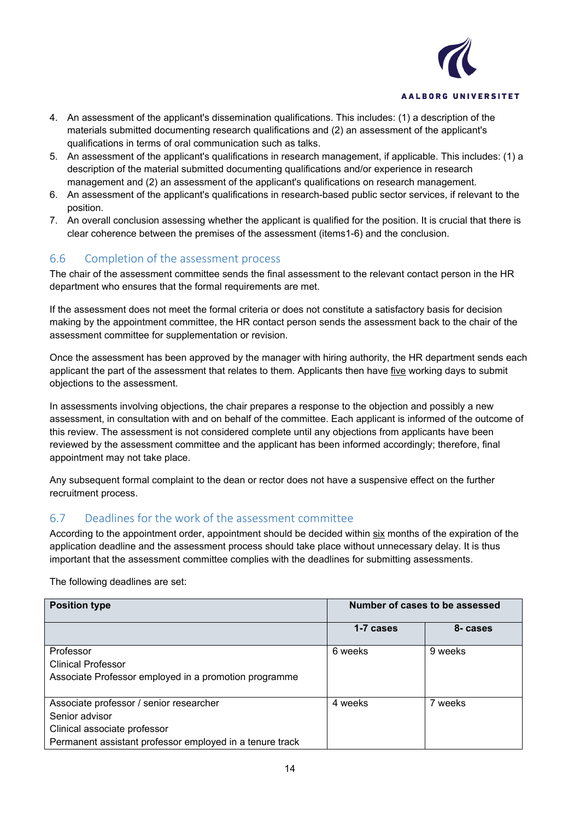

- 4. An assessment of the applicant's dissemination qualifications. This includes: (1) a description of the materials submitted documenting research qualifications and (2) an assessment of the applicant's qualifications in terms of oral communication such as talks.
- 5. An assessment of the applicant's qualifications in research management, if applicable. This includes: (1) a description of the material submitted documenting qualifications and/or experience in research management and (2) an assessment of the applicant's qualifications on research management.
- 6. An assessment of the applicant's qualifications in research-based public sector services, if relevant to the position.
- 7. An overall conclusion assessing whether the applicant is qualified for the position. It is crucial that there is clear coherence between the premises of the assessment (items1-6) and the conclusion.

### <span id="page-13-0"></span>6.6 Completion of the assessment process

The chair of the assessment committee sends the final assessment to the relevant contact person in the HR department who ensures that the formal requirements are met.

If the assessment does not meet the formal criteria or does not constitute a satisfactory basis for decision making by the appointment committee, the HR contact person sends the assessment back to the chair of the assessment committee for supplementation or revision.

Once the assessment has been approved by the manager with hiring authority, the HR department sends each applicant the part of the assessment that relates to them. Applicants then have five working days to submit objections to the assessment.

In assessments involving objections, the chair prepares a response to the objection and possibly a new assessment, in consultation with and on behalf of the committee. Each applicant is informed of the outcome of this review. The assessment is not considered complete until any objections from applicants have been reviewed by the assessment committee and the applicant has been informed accordingly; therefore, final appointment may not take place.

Any subsequent formal complaint to the dean or rector does not have a suspensive effect on the further recruitment process.

### <span id="page-13-1"></span>6.7 Deadlines for the work of the assessment committee

According to the appointment order, appointment should be decided within six months of the expiration of the application deadline and the assessment process should take place without unnecessary delay. It is thus important that the assessment committee complies with the deadlines for submitting assessments.

The following deadlines are set:

| <b>Position type</b>                                     | Number of cases to be assessed |          |
|----------------------------------------------------------|--------------------------------|----------|
|                                                          | 1-7 cases                      | 8- cases |
| Professor                                                | 6 weeks                        | 9 weeks  |
| <b>Clinical Professor</b>                                |                                |          |
| Associate Professor employed in a promotion programme    |                                |          |
| Associate professor / senior researcher                  | 4 weeks                        | 7 weeks  |
| Senior advisor                                           |                                |          |
| Clinical associate professor                             |                                |          |
| Permanent assistant professor employed in a tenure track |                                |          |